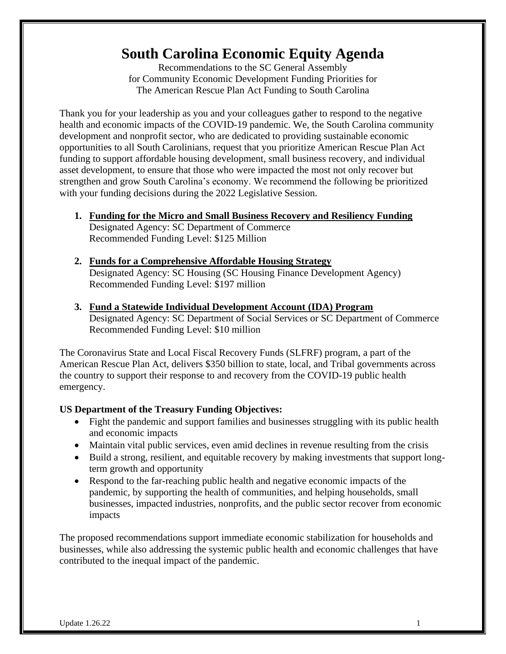# **South Carolina Economic Equity Agenda**

Recommendations to the SC General Assembly for Community Economic Development Funding Priorities for The American Rescue Plan Act Funding to South Carolina

Thank you for your leadership as you and your colleagues gather to respond to the negative health and economic impacts of the COVID-19 pandemic. We, the South Carolina community development and nonprofit sector, who are dedicated to providing sustainable economic opportunities to all South Carolinians, request that you prioritize American Rescue Plan Act funding to support affordable housing development, small business recovery, and individual asset development, to ensure that those who were impacted the most not only recover but strengthen and grow South Carolina's economy. We recommend the following be prioritized with your funding decisions during the 2022 Legislative Session.

- **1. Funding for the Micro and Small Business Recovery and Resiliency Funding** Designated Agency: SC Department of Commerce Recommended Funding Level: \$125 Million
- **2. Funds for a Comprehensive Affordable Housing Strategy** Designated Agency: SC Housing (SC Housing Finance Development Agency) Recommended Funding Level: \$197 million
- **3. Fund a Statewide Individual Development Account (IDA) Program** Designated Agency: SC Department of Social Services or SC Department of Commerce Recommended Funding Level: \$10 million

The Coronavirus State and Local Fiscal Recovery Funds (SLFRF) program, a part of the American Rescue Plan Act, delivers \$350 billion to state, local, and Tribal governments across the country to support their response to and recovery from the COVID-19 public health emergency.

## **US Department of the Treasury Funding Objectives:**

- Fight the pandemic and support families and businesses struggling with its public health and economic impacts
- Maintain vital public services, even amid declines in revenue resulting from the crisis
- Build a strong, resilient, and equitable recovery by making investments that support longterm growth and opportunity
- Respond to the far-reaching public health and negative economic impacts of the pandemic, by supporting the health of communities, and helping households, small businesses, impacted industries, nonprofits, and the public sector recover from economic impacts

The proposed recommendations support immediate economic stabilization for households and businesses, while also addressing the systemic public health and economic challenges that have contributed to the inequal impact of the pandemic.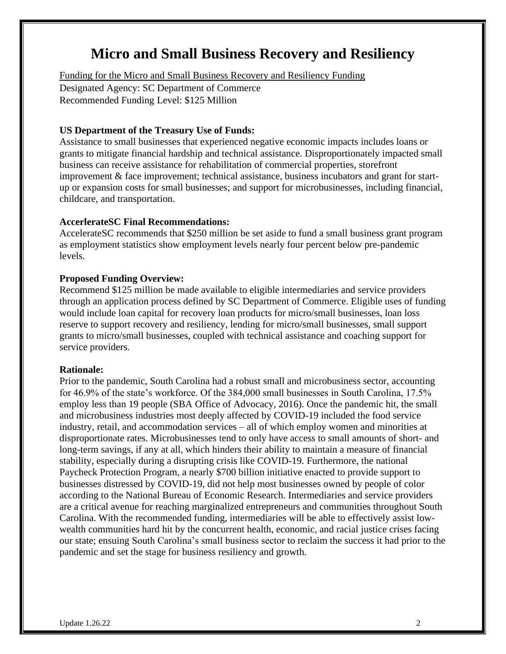# **Micro and Small Business Recovery and Resiliency**

Funding for the Micro and Small Business Recovery and Resiliency Funding Designated Agency: SC Department of Commerce Recommended Funding Level: \$125 Million

#### **US Department of the Treasury Use of Funds:**

Assistance to small businesses that experienced negative economic impacts includes loans or grants to mitigate financial hardship and technical assistance. Disproportionately impacted small business can receive assistance for rehabilitation of commercial properties, storefront improvement & face improvement; technical assistance, business incubators and grant for startup or expansion costs for small businesses; and support for microbusinesses, including financial, childcare, and transportation.

#### **AccerlerateSC Final Recommendations:**

AccelerateSC recommends that \$250 million be set aside to fund a small business grant program as employment statistics show employment levels nearly four percent below pre-pandemic levels.

#### **Proposed Funding Overview:**

Recommend \$125 million be made available to eligible intermediaries and service providers through an application process defined by SC Department of Commerce. Eligible uses of funding would include loan capital for recovery loan products for micro/small businesses, loan loss reserve to support recovery and resiliency, lending for micro/small businesses, small support grants to micro/small businesses, coupled with technical assistance and coaching support for service providers.

#### **Rationale:**

Prior to the pandemic, South Carolina had a robust small and microbusiness sector, accounting for 46.9% of the state's workforce. Of the 384,000 small businesses in South Carolina, 17.5% employ less than 19 people (SBA Office of Advocacy, 2016). Once the pandemic hit, the small and microbusiness industries most deeply affected by COVID-19 included the food service industry, retail, and accommodation services – all of which employ women and minorities at disproportionate rates. Microbusinesses tend to only have access to small amounts of short- and long-term savings, if any at all, which hinders their ability to maintain a measure of financial stability, especially during a disrupting crisis like COVID-19. Furthermore, the national Paycheck Protection Program, a nearly \$700 billion initiative enacted to provide support to businesses distressed by COVID-19, did not help most businesses owned by people of color according to the National Bureau of Economic Research. Intermediaries and service providers are a critical avenue for reaching marginalized entrepreneurs and communities throughout South Carolina. With the recommended funding, intermediaries will be able to effectively assist lowwealth communities hard hit by the concurrent health, economic, and racial justice crises facing our state; ensuing South Carolina's small business sector to reclaim the success it had prior to the pandemic and set the stage for business resiliency and growth.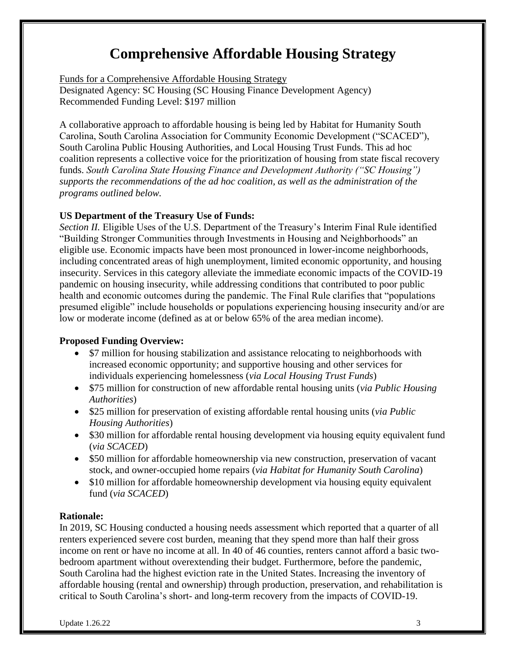# **Comprehensive Affordable Housing Strategy**

Funds for a Comprehensive Affordable Housing Strategy Designated Agency: SC Housing (SC Housing Finance Development Agency) Recommended Funding Level: \$197 million

A collaborative approach to affordable housing is being led by Habitat for Humanity South Carolina, South Carolina Association for Community Economic Development ("SCACED"), South Carolina Public Housing Authorities, and Local Housing Trust Funds. This ad hoc coalition represents a collective voice for the prioritization of housing from state fiscal recovery funds. *South Carolina State Housing Finance and Development Authority ("SC Housing") supports the recommendations of the ad hoc coalition, as well as the administration of the programs outlined below.*

#### **US Department of the Treasury Use of Funds:**

*Section II.* Eligible Uses of the U.S. Department of the Treasury's Interim Final Rule identified "Building Stronger Communities through Investments in Housing and Neighborhoods" an eligible use. Economic impacts have been most pronounced in lower-income neighborhoods, including concentrated areas of high unemployment, limited economic opportunity, and housing insecurity. Services in this category alleviate the immediate economic impacts of the COVID-19 pandemic on housing insecurity, while addressing conditions that contributed to poor public health and economic outcomes during the pandemic. The Final Rule clarifies that "populations presumed eligible" include households or populations experiencing housing insecurity and/or are low or moderate income (defined as at or below 65% of the area median income).

#### **Proposed Funding Overview:**

- \$7 million for housing stabilization and assistance relocating to neighborhoods with increased economic opportunity; and supportive housing and other services for individuals experiencing homelessness (*via Local Housing Trust Funds*)
- \$75 million for construction of new affordable rental housing units (*via Public Housing Authorities*)
- \$25 million for preservation of existing affordable rental housing units (*via Public Housing Authorities*)
- \$30 million for affordable rental housing development via housing equity equivalent fund (*via SCACED*)
- \$50 million for affordable homeownership via new construction, preservation of vacant stock, and owner-occupied home repairs (*via Habitat for Humanity South Carolina*)
- \$10 million for affordable homeownership development via housing equity equivalent fund (*via SCACED*)

## **Rationale:**

In 2019, SC Housing conducted a housing needs assessment which reported that a quarter of all renters experienced severe cost burden, meaning that they spend more than half their gross income on rent or have no income at all. In 40 of 46 counties, renters cannot afford a basic twobedroom apartment without overextending their budget. Furthermore, before the pandemic, South Carolina had the highest eviction rate in the United States. Increasing the inventory of affordable housing (rental and ownership) through production, preservation, and rehabilitation is critical to South Carolina's short- and long-term recovery from the impacts of COVID-19.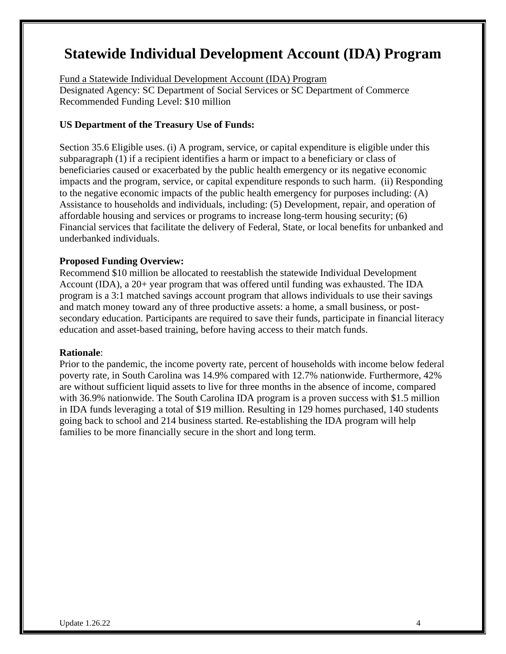# **Statewide Individual Development Account (IDA) Program**

Fund a Statewide Individual Development Account (IDA) Program Designated Agency: SC Department of Social Services or SC Department of Commerce Recommended Funding Level: \$10 million

#### **US Department of the Treasury Use of Funds:**

Section 35.6 Eligible uses. (i) A program, service, or capital expenditure is eligible under this subparagraph (1) if a recipient identifies a harm or impact to a beneficiary or class of beneficiaries caused or exacerbated by the public health emergency or its negative economic impacts and the program, service, or capital expenditure responds to such harm. (ii) Responding to the negative economic impacts of the public health emergency for purposes including: (A) Assistance to households and individuals, including: (5) Development, repair, and operation of affordable housing and services or programs to increase long-term housing security; (6) Financial services that facilitate the delivery of Federal, State, or local benefits for unbanked and underbanked individuals.

#### **Proposed Funding Overview:**

Recommend \$10 million be allocated to reestablish the statewide Individual Development Account (IDA), a 20+ year program that was offered until funding was exhausted. The IDA program is a 3:1 matched savings account program that allows individuals to use their savings and match money toward any of three productive assets: a home, a small business, or postsecondary education. Participants are required to save their funds, participate in financial literacy education and asset-based training, before having access to their match funds.

#### **Rationale**:

Prior to the pandemic, the income poverty rate, percent of households with income below federal poverty rate, in South Carolina was 14.9% compared with 12.7% nationwide. Furthermore, 42% are without sufficient liquid assets to live for three months in the absence of income, compared with 36.9% nationwide. The South Carolina IDA program is a proven success with \$1.5 million in IDA funds leveraging a total of \$19 million. Resulting in 129 homes purchased, 140 students going back to school and 214 business started. Re-establishing the IDA program will help families to be more financially secure in the short and long term.